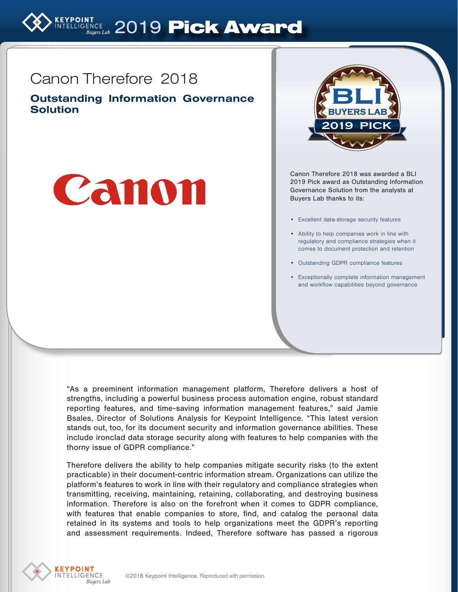

# Canon Therefore 2018

Outstanding Information Governance **Solution** 





Canon Therefore 2018 was awarded a BLI 2019 Pick award as Outstanding Information Governance Solution from the analysts at Buyers Lab thanks to its:

- Excellent data-storage security features
- Ability to help companies work in line with regulatory and compliance strategies when it comes to document protection and retention
- Outstanding GDPR compliance features
- Exceptionally complete information management and workflow capabilities beyond governance

"As a preeminent information management platform, Therefore delivers a host of strengths, including a powerful business process automation engine, robust standard reporting features, and time-saving information management features," said Jamie Bsales, Director of Solutions Analysis for Keypoint Intelligence. "This latest version stands out, too, for its document security and information governance abilities. These include ironclad data storage security along with features to help companies with the thorny issue of GDPR compliance."

Therefore delivers the ability to help companies mitigate security risks (to the extent practicable) in their document-centric information stream. Organizations can utilize the platform's features to work in line with their regulatory and compliance strategies when transmitting, receiving, maintaining, retaining, collaborating, and destroying business information. Therefore is also on the forefront when it comes to GDPR compliance, with features that enable companies to store, find, and catalog the personal data retained in its systems and tools to help organizations meet the GDPR's reporting and assessment requirements. Indeed, Therefore software has passed a rigorous